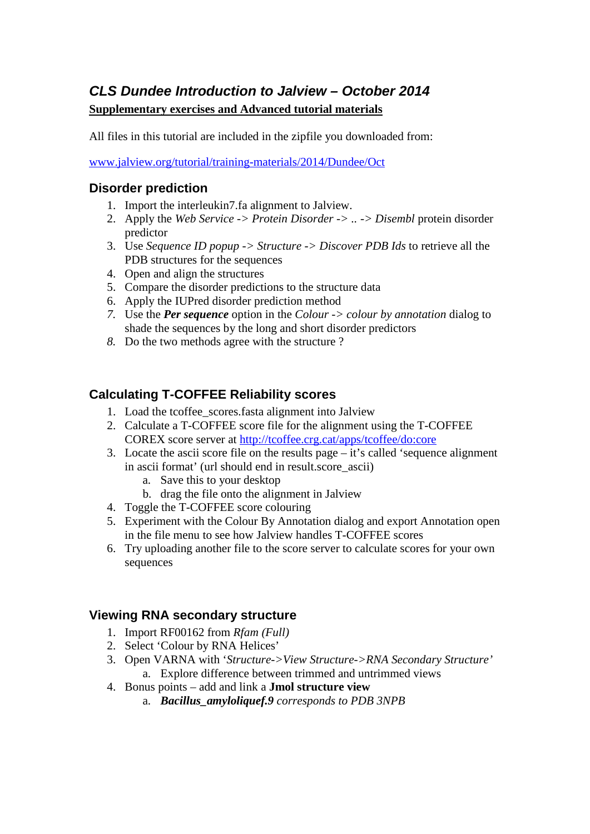# *CLS Dundee Introduction to Jalview – October 2014* **Supplementary exercises and Advanced tutorial materials**

All files in this tutorial are included in the zipfile you downloaded from:

[www.jalview.org/tutorial/training-materials/2014/Dundee/Oct](http://www.jalview.org/tutorial/training-materials/2014/Dundee/Oct)

#### **Disorder prediction**

- 1. Import the interleukin7.fa alignment to Jalview.
- 2. Apply the *Web Service -> Protein Disorder -> .. -> Disembl* protein disorder predictor
- 3. Use *Sequence ID popup -> Structure -> Discover PDB Ids* to retrieve all the PDB structures for the sequences
- 4. Open and align the structures
- 5. Compare the disorder predictions to the structure data
- 6. Apply the IUPred disorder prediction method
- *7.* Use the *Per sequence* option in the *Colour -> colour by annotation* dialog to shade the sequences by the long and short disorder predictors
- *8.* Do the two methods agree with the structure ?

### **Calculating T-COFFEE Reliability scores**

- 1. Load the tcoffee\_scores.fasta alignment into Jalview
- 2. Calculate a T-COFFEE score file for the alignment using the T-COFFEE COREX score server at<http://tcoffee.crg.cat/apps/tcoffee/do:core>
- 3. Locate the ascii score file on the results page it's called 'sequence alignment in ascii format' (url should end in result.score\_ascii)
	- a. Save this to your desktop
	- b. drag the file onto the alignment in Jalview
- 4. Toggle the T-COFFEE score colouring
- 5. Experiment with the Colour By Annotation dialog and export Annotation open in the file menu to see how Jalview handles T-COFFEE scores
- 6. Try uploading another file to the score server to calculate scores for your own sequences

#### **Viewing RNA secondary structure**

- 1. Import RF00162 from *Rfam (Full)*
- 2. Select 'Colour by RNA Helices'
- 3. Open VARNA with '*Structure->View Structure->RNA Secondary Structure'* a. Explore difference between trimmed and untrimmed views
- 4. Bonus points add and link a **Jmol structure view**
	- a. *Bacillus\_amyloliquef.9 corresponds to PDB 3NPB*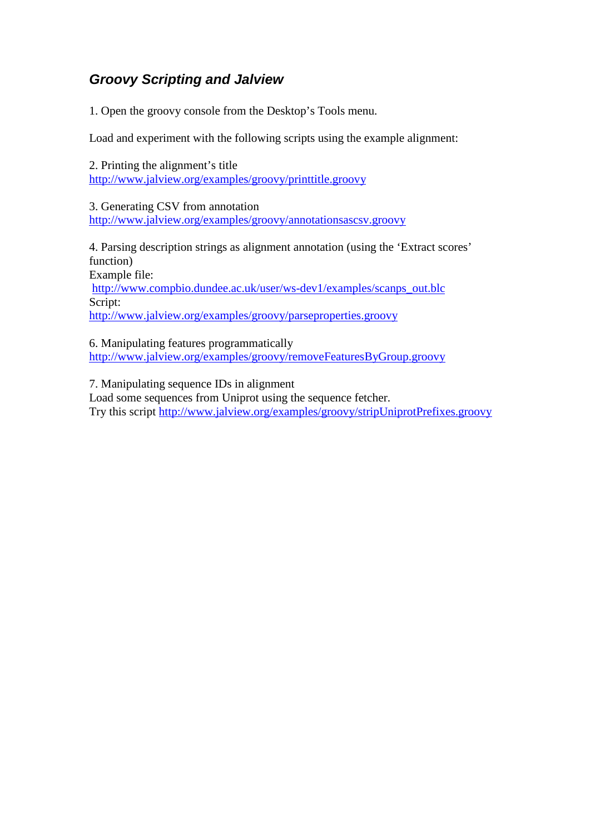## *Groovy Scripting and Jalview*

1. Open the groovy console from the Desktop's Tools menu.

Load and experiment with the following scripts using the example alignment:

2. Printing the alignment's title <http://www.jalview.org/examples/groovy/printtitle.groovy>

3. Generating CSV from annotation <http://www.jalview.org/examples/groovy/annotationsascsv.groovy>

4. Parsing description strings as alignment annotation (using the 'Extract scores' function)

Example file:

[http://www.compbio.dundee.ac.uk/user/ws-dev1/examples/scanps\\_out.blc](http://www.compbio.dundee.ac.uk/user/ws-dev1/examples/scanps_out.blc) Script:

<http://www.jalview.org/examples/groovy/parseproperties.groovy>

6. Manipulating features programmatically <http://www.jalview.org/examples/groovy/removeFeaturesByGroup.groovy>

7. Manipulating sequence IDs in alignment Load some sequences from Uniprot using the sequence fetcher. Try this script<http://www.jalview.org/examples/groovy/stripUniprotPrefixes.groovy>